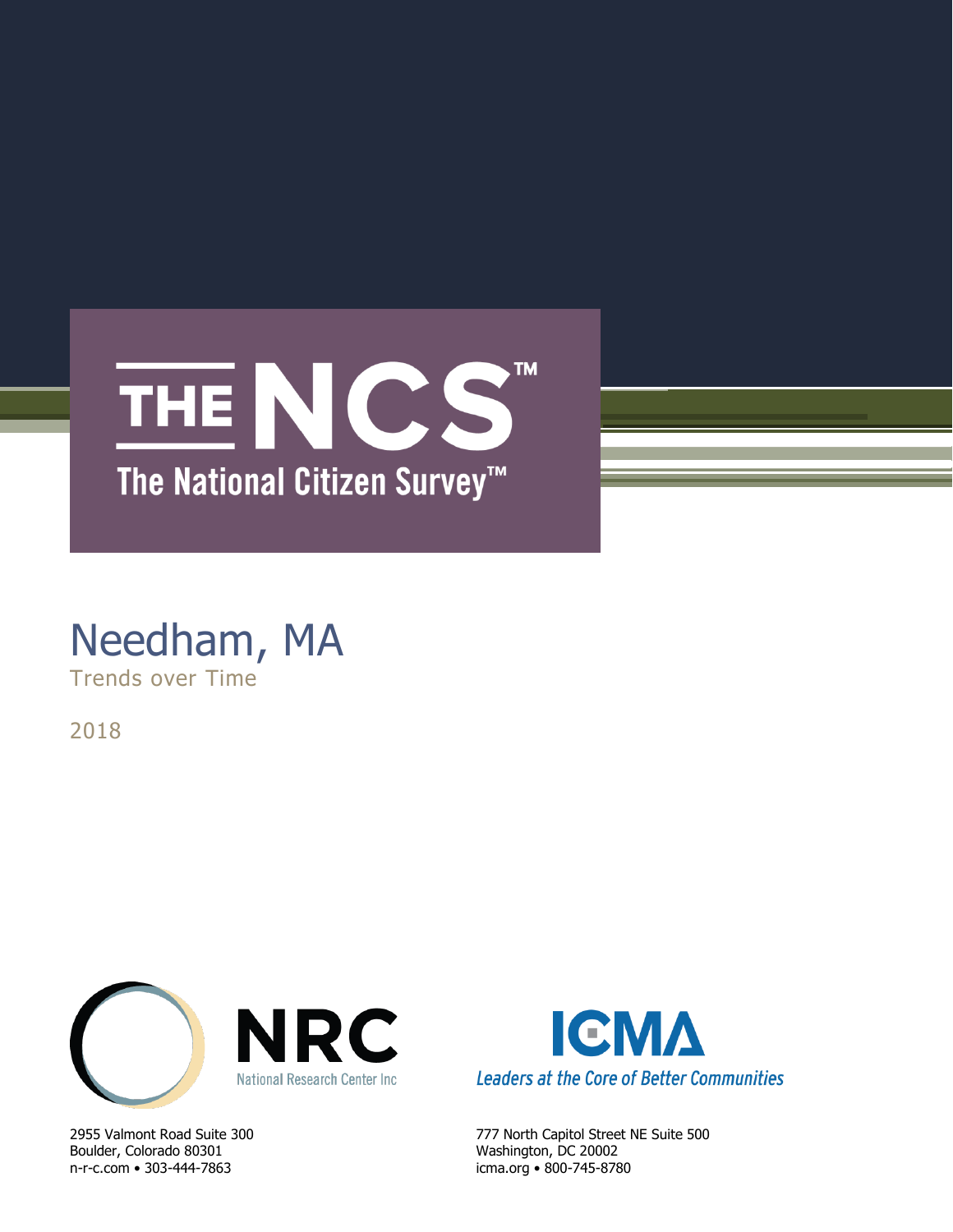

# Needham, MA Trends over Time

2018



Boulder, Colorado 80301 Washington, DC 20002 n-r-c.com • 303-444-7863 icma.org • 800-745-8780



2955 Valmont Road Suite 300 777 North Capitol Street NE Suite 500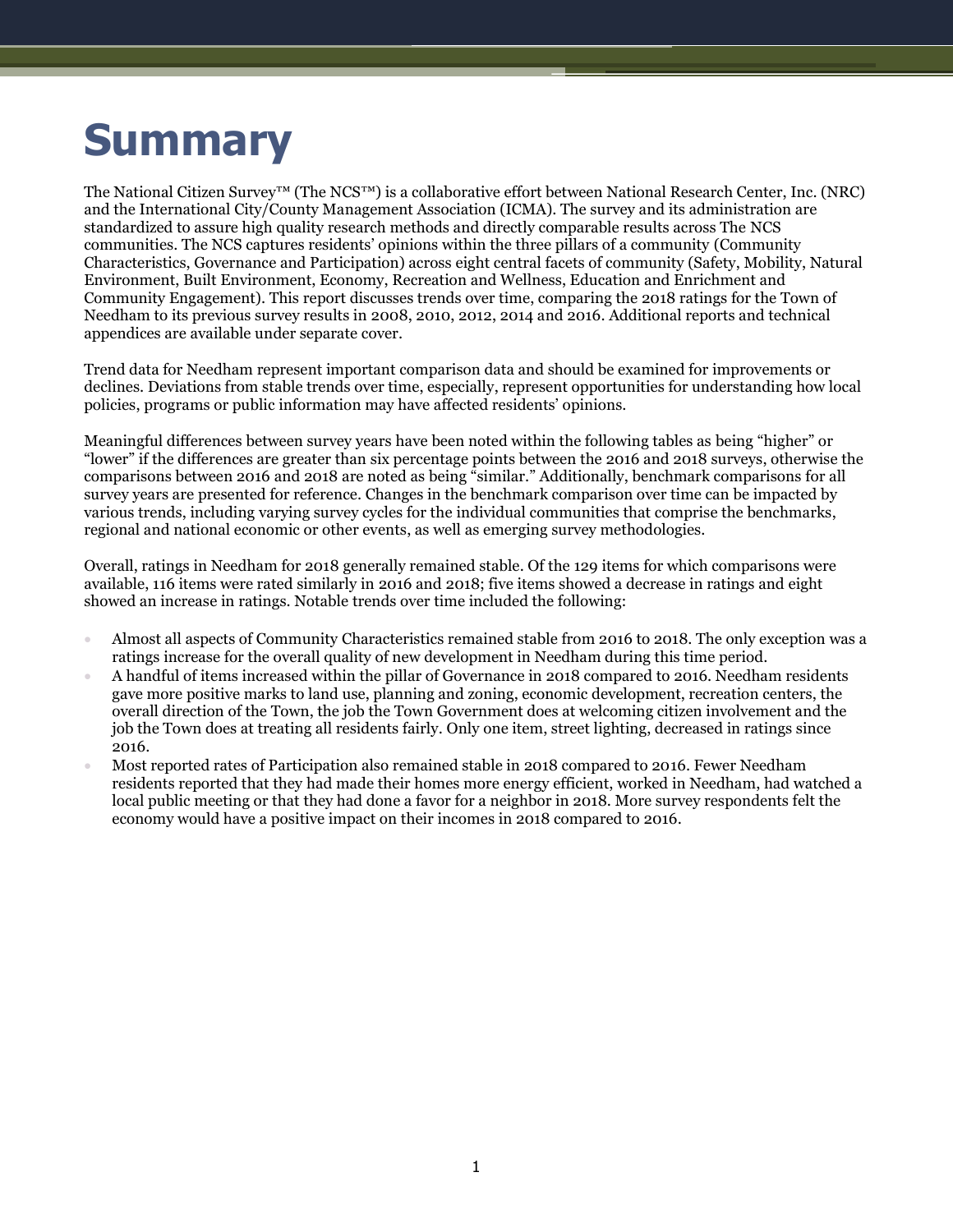# **Summary**

The National Citizen Survey™ (The NCS™) is a collaborative effort between National Research Center, Inc. (NRC) and the International City/County Management Association (ICMA). The survey and its administration are standardized to assure high quality research methods and directly comparable results across The NCS communities. The NCS captures residents' opinions within the three pillars of a community (Community Characteristics, Governance and Participation) across eight central facets of community (Safety, Mobility, Natural Environment, Built Environment, Economy, Recreation and Wellness, Education and Enrichment and Community Engagement). This report discusses trends over time, comparing the 2018 ratings for the Town of Needham to its previous survey results in 2008, 2010, 2012, 2014 and 2016. Additional reports and technical appendices are available under separate cover.

Trend data for Needham represent important comparison data and should be examined for improvements or declines. Deviations from stable trends over time, especially, represent opportunities for understanding how local policies, programs or public information may have affected residents' opinions.

Meaningful differences between survey years have been noted within the following tables as being "higher" or "lower" if the differences are greater than six percentage points between the 2016 and 2018 surveys, otherwise the comparisons between 2016 and 2018 are noted as being "similar." Additionally, benchmark comparisons for all survey years are presented for reference. Changes in the benchmark comparison over time can be impacted by various trends, including varying survey cycles for the individual communities that comprise the benchmarks, regional and national economic or other events, as well as emerging survey methodologies.

Overall, ratings in Needham for 2018 generally remained stable. Of the 129 items for which comparisons were available, 116 items were rated similarly in 2016 and 2018; five items showed a decrease in ratings and eight showed an increase in ratings. Notable trends over time included the following:

- Almost all aspects of Community Characteristics remained stable from 2016 to 2018. The only exception was a ratings increase for the overall quality of new development in Needham during this time period.
- A handful of items increased within the pillar of Governance in 2018 compared to 2016. Needham residents gave more positive marks to land use, planning and zoning, economic development, recreation centers, the overall direction of the Town, the job the Town Government does at welcoming citizen involvement and the job the Town does at treating all residents fairly. Only one item, street lighting, decreased in ratings since 2016.
- Most reported rates of Participation also remained stable in 2018 compared to 2016. Fewer Needham residents reported that they had made their homes more energy efficient, worked in Needham, had watched a local public meeting or that they had done a favor for a neighbor in 2018. More survey respondents felt the economy would have a positive impact on their incomes in 2018 compared to 2016.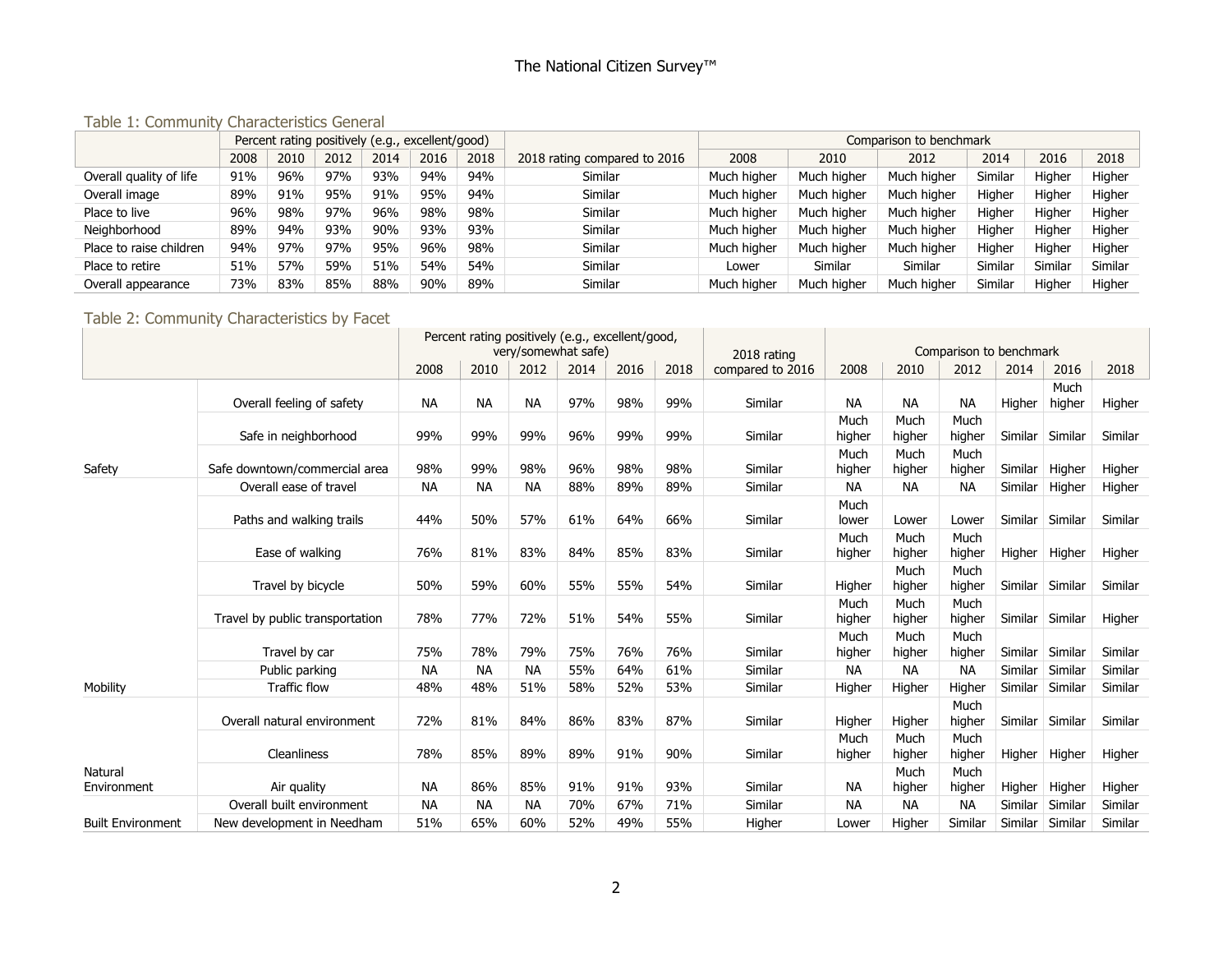Table 1: Community Characteristics General

|                         | Percent rating positively (e.g., excellent/good) |      |      |      |      |      |                              |             |             | Comparison to benchmark |         |         |         |
|-------------------------|--------------------------------------------------|------|------|------|------|------|------------------------------|-------------|-------------|-------------------------|---------|---------|---------|
|                         | 2008                                             | 2010 | 2012 | 2014 | 2016 | 2018 | 2018 rating compared to 2016 | 2008        | 2010        | 2012                    | 2014    | 2016    | 2018    |
| Overall quality of life | 91%                                              | 96%  | 97%  | 93%  | 94%  | 94%  | Similar                      | Much higher | Much higher | Much higher             | Similar | Higher  | Higher  |
| Overall image           | 89%                                              | 91%  | 95%  | 91%  | 95%  | 94%  | Similar                      | Much higher | Much higher | Much higher             | Higher  | Higher  | Higher  |
| Place to live           | 96%                                              | 98%  | 97%  | 96%  | 98%  | 98%  | Similar                      | Much higher | Much higher | Much higher             | Higher  | Higher  | Higher  |
| Neighborhood            | 89%                                              | 94%  | 93%  | 90%  | 93%  | 93%  | Similar                      | Much higher | Much higher | Much higher             | Higher  | Higher  | Higher  |
| Place to raise children | 94%                                              | 97%  | 97%  | 95%  | 96%  | 98%  | Similar                      | Much higher | Much higher | Much higher             | Higher  | Higher  | Higher  |
| Place to retire         | 51%                                              | 57%  | 59%  | 51%  | 54%  | 54%  | Similar                      | Lower       | Similar     | Similar                 | Similar | Similar | Similar |
| Overall appearance      | 73%                                              | 83%  | 85%  | 88%  | 90%  | 89%  | Similar                      | Much higher | Much higher | Much higher             | Similar | Higher  | Higher  |

# Table 2: Community Characteristics by Facet

|                          |                                 |           | Percent rating positively (e.g., excellent/good, |           |                     |      |      |                  |                |                |                         |         |                 |         |
|--------------------------|---------------------------------|-----------|--------------------------------------------------|-----------|---------------------|------|------|------------------|----------------|----------------|-------------------------|---------|-----------------|---------|
|                          |                                 |           |                                                  |           | very/somewhat safe) |      |      | 2018 rating      |                |                | Comparison to benchmark |         |                 |         |
|                          |                                 | 2008      | 2010                                             | 2012      | 2014                | 2016 | 2018 | compared to 2016 | 2008           | 2010           | 2012                    | 2014    | 2016            | 2018    |
|                          | Overall feeling of safety       | <b>NA</b> | <b>NA</b>                                        | <b>NA</b> | 97%                 | 98%  | 99%  | Similar          | <b>NA</b>      | <b>NA</b>      | <b>NA</b>               | Higher  | Much<br>higher  | Higher  |
|                          | Safe in neighborhood            | 99%       | 99%                                              | 99%       | 96%                 | 99%  | 99%  | Similar          | Much<br>higher | Much<br>higher | Much<br>higher          | Similar | Similar         | Similar |
| Safety                   | Safe downtown/commercial area   | 98%       | 99%                                              | 98%       | 96%                 | 98%  | 98%  | Similar          | Much<br>higher | Much<br>higher | Much<br>higher          | Similar | Higher          | Higher  |
|                          | Overall ease of travel          | NА        | <b>NA</b>                                        | <b>NA</b> | 88%                 | 89%  | 89%  | Similar          | <b>NA</b>      | <b>NA</b>      | <b>NA</b>               | Similar | Higher          | Higher  |
|                          | Paths and walking trails        | 44%       | 50%                                              | 57%       | 61%                 | 64%  | 66%  | Similar          | Much<br>lower  | Lower          | Lower                   | Similar | Similar         | Similar |
|                          | Ease of walking                 | 76%       | 81%                                              | 83%       | 84%                 | 85%  | 83%  | Similar          | Much<br>higher | Much<br>higher | Much<br>higher          | Higher  | Higher          | Higher  |
|                          | Travel by bicycle               | 50%       | 59%                                              | 60%       | 55%                 | 55%  | 54%  | Similar          | Higher         | Much<br>higher | Much<br>higher          |         | Similar Similar | Similar |
|                          | Travel by public transportation | 78%       | 77%                                              | 72%       | 51%                 | 54%  | 55%  | Similar          | Much<br>higher | Much<br>higher | Much<br>higher          |         | Similar Similar | Higher  |
|                          | Travel by car                   | 75%       | 78%                                              | 79%       | 75%                 | 76%  | 76%  | Similar          | Much<br>higher | Much<br>higher | Much<br>higher          |         | Similar Similar | Similar |
|                          | Public parking                  | <b>NA</b> | <b>NA</b>                                        | <b>NA</b> | 55%                 | 64%  | 61%  | Similar          | <b>NA</b>      | <b>NA</b>      | <b>NA</b>               | Similar | Similar         | Similar |
| Mobility                 | <b>Traffic flow</b>             | 48%       | 48%                                              | 51%       | 58%                 | 52%  | 53%  | Similar          | Higher         | Higher         | Higher                  | Similar | Similar         | Similar |
|                          | Overall natural environment     | 72%       | 81%                                              | 84%       | 86%                 | 83%  | 87%  | Similar          | Higher         | Higher         | Much<br>higher          |         | Similar Similar | Similar |
|                          | Cleanliness                     | 78%       | 85%                                              | 89%       | 89%                 | 91%  | 90%  | Similar          | Much<br>higher | Much<br>higher | Much<br>higher          | Higher  | Higher          | Higher  |
| Natural<br>Environment   | Air quality                     | <b>NA</b> | 86%                                              | 85%       | 91%                 | 91%  | 93%  | Similar          | <b>NA</b>      | Much<br>higher | Much<br>higher          | Higher  | Higher          | Higher  |
|                          | Overall built environment       | <b>NA</b> | <b>NA</b>                                        | <b>NA</b> | 70%                 | 67%  | 71%  | Similar          | <b>NA</b>      | <b>NA</b>      | <b>NA</b>               | Similar | Similar         | Similar |
| <b>Built Environment</b> | New development in Needham      | 51%       | 65%                                              | 60%       | 52%                 | 49%  | 55%  | Higher           | Lower          | Higher         | Similar                 | Similar | Similar         | Similar |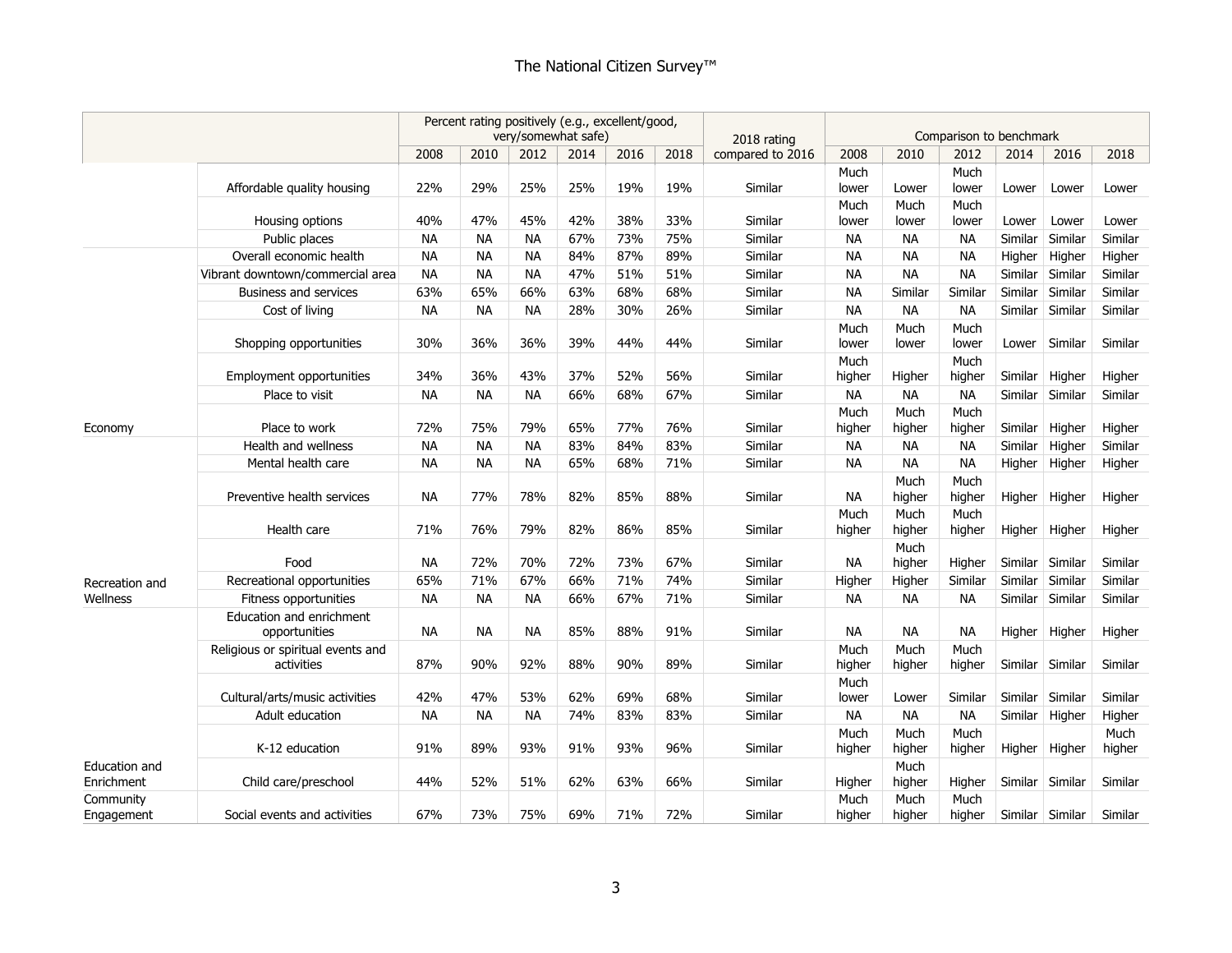|                             |                                                 | Percent rating positively (e.g., excellent/good,<br>very/somewhat safe) |           |           |      |      |      | 2018 rating      |                |                | Comparison to benchmark |         |                 |                |
|-----------------------------|-------------------------------------------------|-------------------------------------------------------------------------|-----------|-----------|------|------|------|------------------|----------------|----------------|-------------------------|---------|-----------------|----------------|
|                             |                                                 | 2008                                                                    | 2010      | 2012      | 2014 | 2016 | 2018 | compared to 2016 | 2008           | 2010           | 2012                    | 2014    | 2016            | 2018           |
|                             | Affordable quality housing                      | 22%                                                                     | 29%       | 25%       | 25%  | 19%  | 19%  | Similar          | Much<br>lower  | Lower          | Much<br>lower           | Lower   | Lower           | Lower          |
|                             | Housing options                                 | 40%                                                                     | 47%       | 45%       | 42%  | 38%  | 33%  | Similar          | Much<br>lower  | Much<br>lower  | Much<br>lower           | Lower   | Lower           | Lower          |
|                             | Public places                                   | <b>NA</b>                                                               | <b>NA</b> | <b>NA</b> | 67%  | 73%  | 75%  | Similar          | <b>NA</b>      | <b>NA</b>      | <b>NA</b>               | Similar | Similar         | Similar        |
|                             | Overall economic health                         | <b>NA</b>                                                               | <b>NA</b> | <b>NA</b> | 84%  | 87%  | 89%  | Similar          | <b>NA</b>      | <b>NA</b>      | <b>NA</b>               | Higher  | Higher          | Higher         |
|                             | Vibrant downtown/commercial area                | <b>NA</b>                                                               | <b>NA</b> | <b>NA</b> | 47%  | 51%  | 51%  | Similar          | <b>NA</b>      | <b>NA</b>      | <b>NA</b>               | Similar | Similar         | Similar        |
|                             | Business and services                           | 63%                                                                     | 65%       | 66%       | 63%  | 68%  | 68%  | Similar          | <b>NA</b>      | Similar        | Similar                 | Similar | Similar         | Similar        |
|                             | Cost of living                                  | <b>NA</b>                                                               | <b>NA</b> | <b>NA</b> | 28%  | 30%  | 26%  | Similar          | <b>NA</b>      | <b>NA</b>      | <b>NA</b>               |         | Similar Similar | Similar        |
|                             | Shopping opportunities                          | 30%                                                                     | 36%       | 36%       | 39%  | 44%  | 44%  | Similar          | Much<br>lower  | Much<br>lower  | Much<br>lower           | Lower   | Similar         | Similar        |
|                             | Employment opportunities                        | 34%                                                                     | 36%       | 43%       | 37%  | 52%  | 56%  | Similar          | Much<br>higher | Higher         | Much<br>higher          | Similar | Higher          | Higher         |
|                             | Place to visit                                  | <b>NA</b>                                                               | <b>NA</b> | <b>NA</b> | 66%  | 68%  | 67%  | Similar          | <b>NA</b>      | <b>NA</b>      | <b>NA</b>               | Similar | Similar         | Similar        |
| Economy                     | Place to work                                   | 72%                                                                     | 75%       | 79%       | 65%  | 77%  | 76%  | Similar          | Much<br>higher | Much<br>higher | Much<br>higher          |         | Similar Higher  | Higher         |
|                             | Health and wellness                             | <b>NA</b>                                                               | <b>NA</b> | <b>NA</b> | 83%  | 84%  | 83%  | Similar          | <b>NA</b>      | <b>NA</b>      | NА                      | Similar | Higher          | Similar        |
|                             | Mental health care                              | <b>NA</b>                                                               | <b>NA</b> | <b>NA</b> | 65%  | 68%  | 71%  | Similar          | NA             | <b>NA</b>      | <b>NA</b>               | Higher  | Higher          | Higher         |
|                             | Preventive health services                      | <b>NA</b>                                                               | 77%       | 78%       | 82%  | 85%  | 88%  | Similar          | <b>NA</b>      | Much<br>higher | Much<br>higher          |         | Higher Higher   | Higher         |
|                             | Health care                                     | 71%                                                                     | 76%       | 79%       | 82%  | 86%  | 85%  | Similar          | Much<br>higher | Much<br>higher | Much<br>higher          | Higher  | Higher          | Higher         |
|                             | Food                                            | <b>NA</b>                                                               | 72%       | 70%       | 72%  | 73%  | 67%  | Similar          | <b>NA</b>      | Much<br>higher | Higher                  |         | Similar Similar | Similar        |
| Recreation and              | Recreational opportunities                      | 65%                                                                     | 71%       | 67%       | 66%  | 71%  | 74%  | Similar          | Higher         | Higher         | Similar                 | Similar | Similar         | Similar        |
| Wellness                    | Fitness opportunities                           | <b>NA</b>                                                               | <b>NA</b> | <b>NA</b> | 66%  | 67%  | 71%  | Similar          | <b>NA</b>      | <b>NA</b>      | <b>NA</b>               |         | Similar Similar | Similar        |
|                             | Education and enrichment<br>opportunities       | <b>NA</b>                                                               | <b>NA</b> | <b>NA</b> | 85%  | 88%  | 91%  | Similar          | NA             | <b>NA</b>      | <b>NA</b>               | Higher  | Higher          | Higher         |
|                             | Religious or spiritual events and<br>activities | 87%                                                                     | 90%       | 92%       | 88%  | 90%  | 89%  | Similar          | Much<br>higher | Much<br>higher | Much<br>higher          |         | Similar Similar | Similar        |
|                             | Cultural/arts/music activities                  | 42%                                                                     | 47%       | 53%       | 62%  | 69%  | 68%  | Similar          | Much<br>lower  | Lower          | Similar                 |         | Similar Similar | Similar        |
|                             | Adult education                                 | <b>NA</b>                                                               | <b>NA</b> | <b>NA</b> | 74%  | 83%  | 83%  | Similar          | <b>NA</b>      | <b>NA</b>      | <b>NA</b>               |         | Similar Higher  | Higher         |
|                             | K-12 education                                  | 91%                                                                     | 89%       | 93%       | 91%  | 93%  | 96%  | Similar          | Much<br>higher | Much<br>higher | Much<br>higher          |         | Higher Higher   | Much<br>higher |
| Education and<br>Enrichment | Child care/preschool                            | 44%                                                                     | 52%       | 51%       | 62%  | 63%  | 66%  | Similar          | Higher         | Much<br>higher | Higher                  |         | Similar Similar | Similar        |
| Community<br>Engagement     | Social events and activities                    | 67%                                                                     | 73%       | 75%       | 69%  | 71%  | 72%  | Similar          | Much<br>higher | Much<br>higher | Much<br>higher          |         | Similar Similar | Similar        |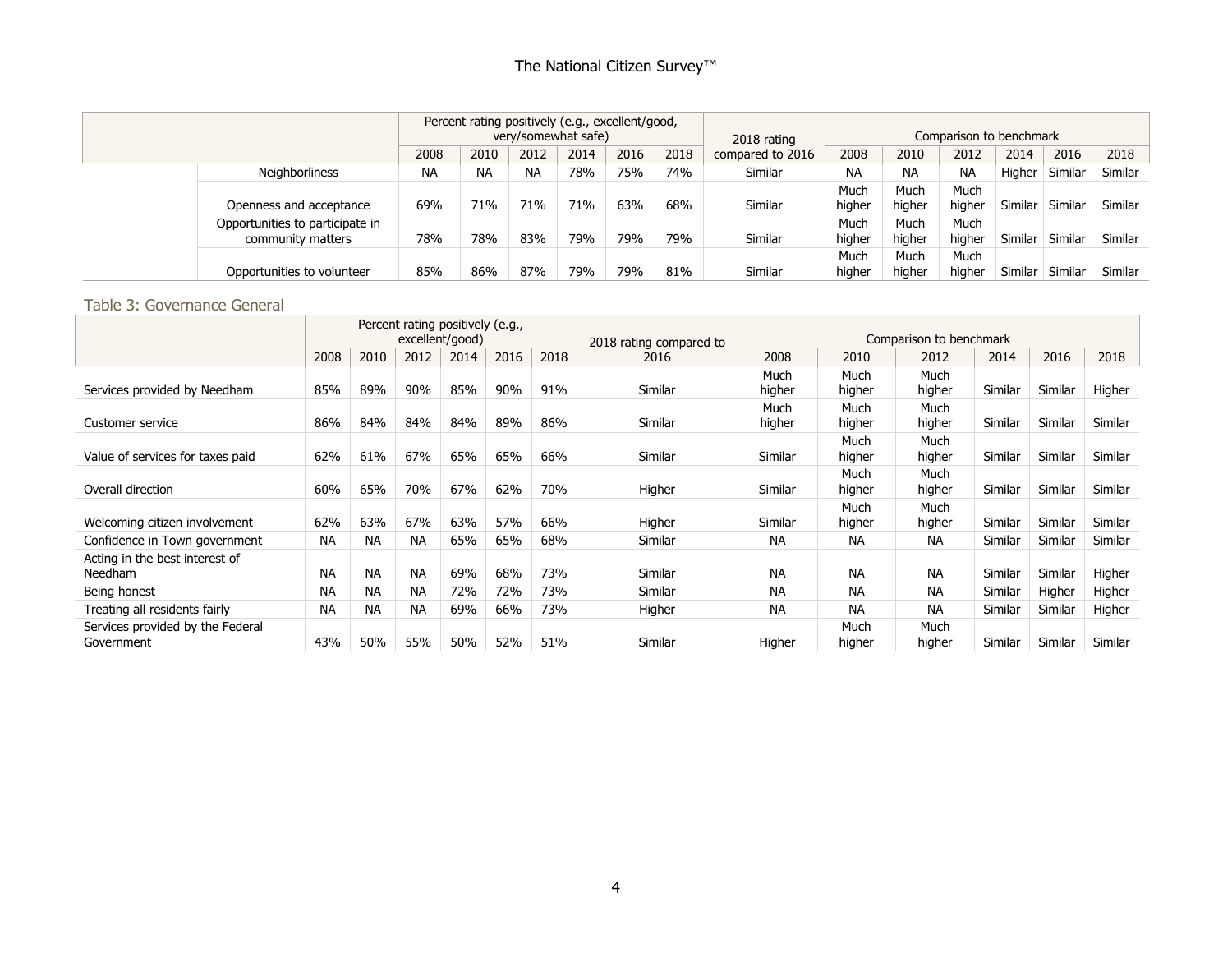|                                                      |           | Percent rating positively (e.g., excellent/good, | very/somewhat safe) |      |      |      | 2018 rating      |                |                | Comparison to benchmark |         |         |         |
|------------------------------------------------------|-----------|--------------------------------------------------|---------------------|------|------|------|------------------|----------------|----------------|-------------------------|---------|---------|---------|
|                                                      | 2008      | 2010                                             | 2012                | 2014 | 2016 | 2018 | compared to 2016 | 2008           | 2010           | 2012                    | 2014    | 2016    | 2018    |
| <b>Neighborliness</b>                                | <b>NA</b> | <b>NA</b>                                        | <b>NA</b>           | 78%  | 75%  | 74%  | Similar          | <b>NA</b>      | <b>NA</b>      | <b>NA</b>               | Higher  | Similar | Similar |
|                                                      |           |                                                  |                     |      |      |      |                  | Much           | Much           | Much                    |         |         |         |
| Openness and acceptance                              |           |                                                  | 71%                 | 71%  | 63%  | 68%  | Similar          | higher         | higher         | higher                  | Similar | Similar | Similar |
| Opportunities to participate in<br>community matters | 78%       | 78%                                              | 83%                 | 79%  | 79%  | 79%  | Similar          | Much<br>higher | Much<br>higher | Much<br>higher          | Similar | Similar | Similar |
| Opportunities to volunteer                           | 85%       | 86%                                              | 87%                 | 79%  | 79%  | 81%  | Similar          | Much<br>higher | Much<br>higher | Much<br>higher          | Similar | Similar | Similar |

#### Table 3: Governance General

|                                                |           |           |           | Percent rating positively (e.g.,<br>excellent/good) |      |      | 2018 rating compared to |                |                | Comparison to benchmark |         |         |         |
|------------------------------------------------|-----------|-----------|-----------|-----------------------------------------------------|------|------|-------------------------|----------------|----------------|-------------------------|---------|---------|---------|
|                                                | 2008      | 2010      | 2012      | 2014                                                | 2016 | 2018 | 2016                    | 2008           | 2010           | 2012                    | 2014    | 2016    | 2018    |
| Services provided by Needham                   | 85%       | 89%       | 90%       | 85%                                                 | 90%  | 91%  | Similar                 | Much<br>higher | Much<br>higher | Much<br>higher          | Similar | Similar | Higher  |
| Customer service                               | 86%       | 84%       | 84%       | 84%                                                 | 89%  | 86%  | Similar                 | Much<br>higher | Much<br>higher | Much<br>higher          | Similar | Similar | Similar |
| Value of services for taxes paid               | 62%       | 61%       | 67%       | 65%                                                 | 65%  | 66%  | Similar                 | Similar        | Much<br>higher | Much<br>higher          | Similar | Similar | Similar |
| Overall direction                              | 60%       | 65%       | 70%       | 67%                                                 | 62%  | 70%  | Higher                  | Similar        | Much<br>higher | Much<br>higher          | Similar | Similar | Similar |
| Welcoming citizen involvement                  | 62%       | 63%       | 67%       | 63%                                                 | 57%  | 66%  | Higher                  | Similar        | Much<br>higher | Much<br>higher          | Similar | Similar | Similar |
| Confidence in Town government                  | <b>NA</b> | <b>NA</b> | NA.       | 65%                                                 | 65%  | 68%  | Similar                 | <b>NA</b>      | <b>NA</b>      | <b>NA</b>               | Similar | Similar | Similar |
| Acting in the best interest of<br>Needham      | <b>NA</b> | <b>NA</b> | <b>NA</b> | 69%                                                 | 68%  | 73%  | Similar                 | <b>NA</b>      | <b>NA</b>      | <b>NA</b>               | Similar | Similar | Higher  |
| Being honest                                   | <b>NA</b> | <b>NA</b> | <b>NA</b> | 72%                                                 | 72%  | 73%  | Similar                 | <b>NA</b>      | <b>NA</b>      | <b>NA</b>               | Similar | Higher  | Higher  |
| Treating all residents fairly                  | <b>NA</b> | <b>NA</b> | <b>NA</b> | 69%                                                 | 66%  | 73%  | Higher                  | <b>NA</b>      | <b>NA</b>      | <b>NA</b>               | Similar | Similar | Higher  |
| Services provided by the Federal<br>Government | 43%       | 50%       | 55%       | 50%                                                 | 52%  | 51%  | Similar                 | Higher         | Much<br>higher | Much<br>higher          | Similar | Similar | Similar |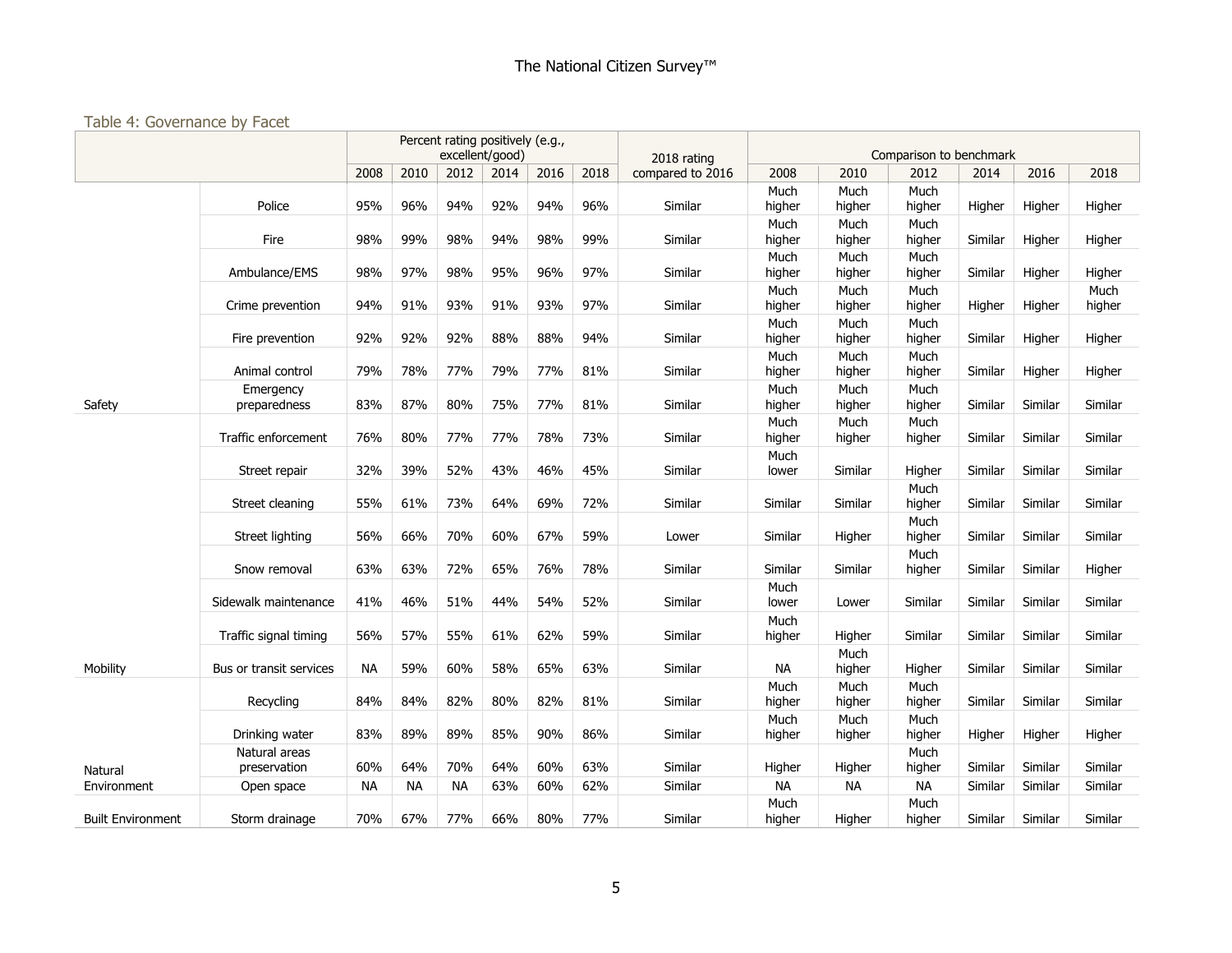# Table 4: Governance by Facet

|                          |                               |           |           |           | Percent rating positively (e.g.,<br>excellent/good) |      |      |                                 |                |                | Comparison to benchmark |         |         |                |
|--------------------------|-------------------------------|-----------|-----------|-----------|-----------------------------------------------------|------|------|---------------------------------|----------------|----------------|-------------------------|---------|---------|----------------|
|                          |                               | 2008      | 2010      | 2012      | 2014                                                | 2016 | 2018 | 2018 rating<br>compared to 2016 | 2008           | 2010           | 2012                    | 2014    | 2016    | 2018           |
|                          | Police                        | 95%       | 96%       | 94%       | 92%                                                 | 94%  | 96%  | Similar                         | Much<br>higher | Much<br>higher | Much<br>higher          | Higher  | Higher  | Higher         |
|                          | Fire                          | 98%       | 99%       | 98%       | 94%                                                 | 98%  | 99%  | Similar                         | Much<br>higher | Much<br>higher | Much<br>higher          | Similar | Higher  | Higher         |
|                          | Ambulance/EMS                 | 98%       | 97%       | 98%       | 95%                                                 | 96%  | 97%  | Similar                         | Much<br>higher | Much<br>higher | Much<br>higher          | Similar | Higher  | Higher         |
|                          | Crime prevention              | 94%       | 91%       | 93%       | 91%                                                 | 93%  | 97%  | Similar                         | Much<br>higher | Much<br>higher | Much<br>higher          | Higher  | Higher  | Much<br>higher |
|                          | Fire prevention               | 92%       | 92%       | 92%       | 88%                                                 | 88%  | 94%  | Similar                         | Much<br>higher | Much<br>higher | Much<br>higher          | Similar | Higher  | Higher         |
|                          | Animal control                | 79%       | 78%       | 77%       | 79%                                                 | 77%  | 81%  | Similar                         | Much<br>higher | Much<br>higher | Much<br>higher          | Similar | Higher  | Higher         |
| Safety                   | Emergency<br>preparedness     | 83%       | 87%       | 80%       | 75%                                                 | 77%  | 81%  | Similar                         | Much<br>higher | Much<br>higher | Much<br>higher          | Similar | Similar | Similar        |
|                          | Traffic enforcement           | 76%       | 80%       | 77%       | 77%                                                 | 78%  | 73%  | Similar                         | Much<br>higher | Much<br>higher | Much<br>higher          | Similar | Similar | Similar        |
|                          | Street repair                 | 32%       | 39%       | 52%       | 43%                                                 | 46%  | 45%  | Similar                         | Much<br>lower  | Similar        | Higher                  | Similar | Similar | Similar        |
|                          | Street cleaning               | 55%       | 61%       | 73%       | 64%                                                 | 69%  | 72%  | Similar                         | Similar        | Similar        | Much<br>higher          | Similar | Similar | Similar        |
|                          | Street lighting               | 56%       | 66%       | 70%       | 60%                                                 | 67%  | 59%  | Lower                           | Similar        | Higher         | Much<br>higher          | Similar | Similar | Similar        |
|                          | Snow removal                  | 63%       | 63%       | 72%       | 65%                                                 | 76%  | 78%  | Similar                         | Similar        | Similar        | Much<br>higher          | Similar | Similar | Higher         |
|                          | Sidewalk maintenance          | 41%       | 46%       | 51%       | 44%                                                 | 54%  | 52%  | Similar                         | Much<br>lower  | Lower          | Similar                 | Similar | Similar | Similar        |
|                          | Traffic signal timing         | 56%       | 57%       | 55%       | 61%                                                 | 62%  | 59%  | Similar                         | Much<br>higher | Higher         | Similar                 | Similar | Similar | Similar        |
| Mobility                 | Bus or transit services       | <b>NA</b> | 59%       | 60%       | 58%                                                 | 65%  | 63%  | Similar                         | <b>NA</b>      | Much<br>higher | Higher                  | Similar | Similar | Similar        |
|                          | Recycling                     | 84%       | 84%       | 82%       | 80%                                                 | 82%  | 81%  | Similar                         | Much<br>higher | Much<br>higher | Much<br>higher          | Similar | Similar | Similar        |
|                          | Drinking water                | 83%       | 89%       | 89%       | 85%                                                 | 90%  | 86%  | Similar                         | Much<br>higher | Much<br>higher | Much<br>higher          | Higher  | Higher  | Higher         |
| Natural                  | Natural areas<br>preservation | 60%       | 64%       | 70%       | 64%                                                 | 60%  | 63%  | Similar                         | Higher         | Higher         | Much<br>higher          | Similar | Similar | Similar        |
| Environment              | Open space                    | <b>NA</b> | <b>NA</b> | <b>NA</b> | 63%                                                 | 60%  | 62%  | Similar                         | <b>NA</b>      | <b>NA</b>      | <b>NA</b>               | Similar | Similar | Similar        |
| <b>Built Environment</b> | Storm drainage                | 70%       | 67%       | 77%       | 66%                                                 | 80%  | 77%  | Similar                         | Much<br>higher | Higher         | Much<br>higher          | Similar | Similar | Similar        |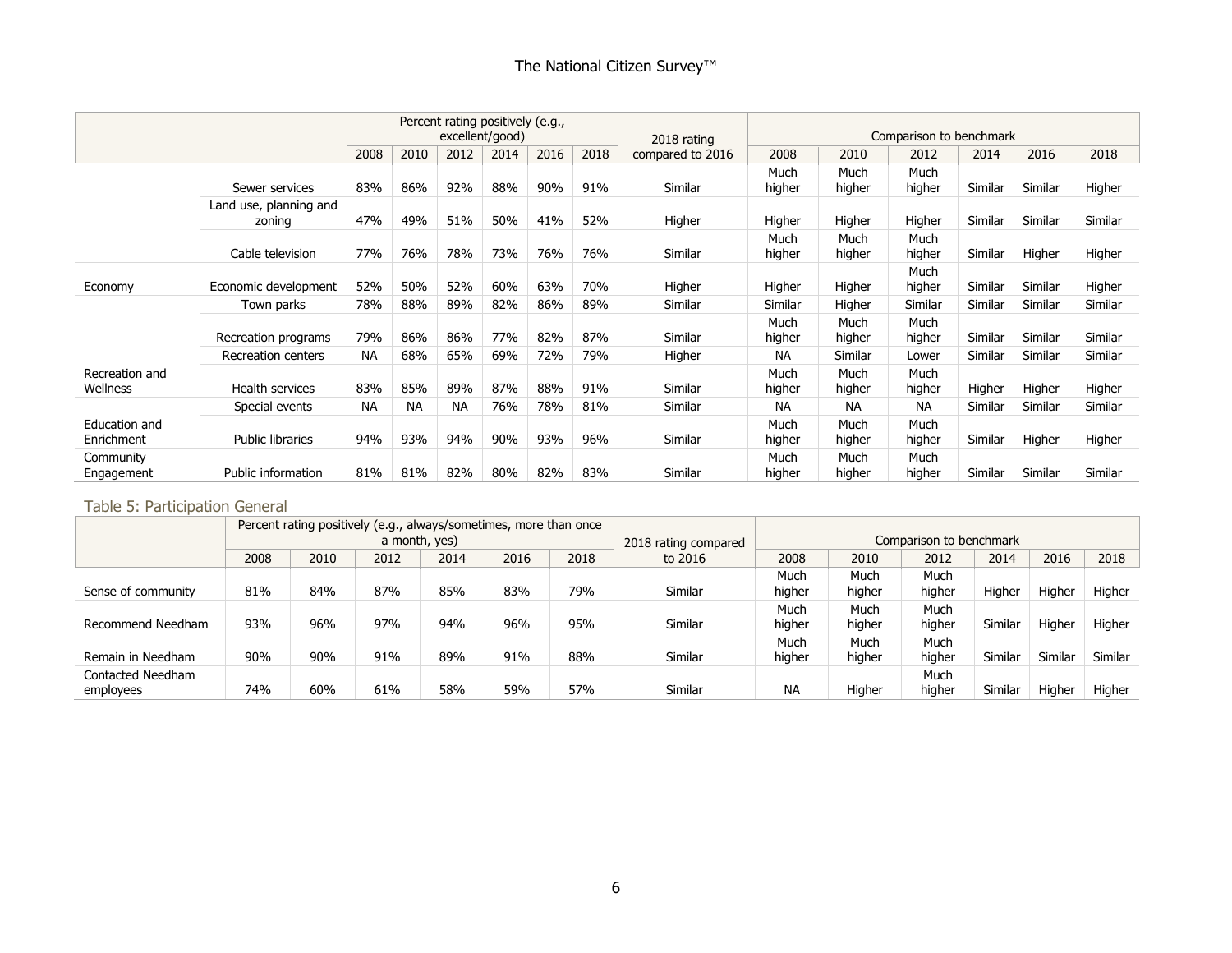|                             |                                  |           |           | Percent rating positively (e.g., | excellent/good) |      |      | 2018 rating      |                |                | Comparison to benchmark |                |         |         |
|-----------------------------|----------------------------------|-----------|-----------|----------------------------------|-----------------|------|------|------------------|----------------|----------------|-------------------------|----------------|---------|---------|
|                             |                                  | 2008      | 2010      | 2012                             | 2014            | 2016 | 2018 | compared to 2016 | 2008           | 2010           | 2012                    | 2014           | 2016    | 2018    |
|                             | Sewer services                   | 83%       | 86%       | 92%                              | 88%             | 90%  | 91%  | Similar          | Much<br>higher | Much<br>higher | Much<br>higher          | Similar        | Similar | Higher  |
|                             | Land use, planning and<br>zoning | 47%       | 49%       | 51%                              | 50%             | 41%  | 52%  | Higher           | Higher         | Higher         | Higher                  | Similar        | Similar | Similar |
|                             | Cable television                 | 77%       | 76%       | 78%                              | 73%             | 76%  | 76%  | Similar          | Much<br>higher | Much<br>higher | Much<br>higher          | Similar        | Higher  | Higher  |
| Economy                     | Economic development             | 52%       | 50%       | 52%                              | 60%             | 63%  | 70%  | Higher           | Higher         | Higher         | Much<br>higher          | Similar        | Similar | Higher  |
|                             | Town parks                       | 78%       | 88%       | 89%                              | 82%             | 86%  | 89%  | Similar          | Similar        | Higher         | Similar                 | <b>Similar</b> | Similar | Similar |
|                             | Recreation programs              | 79%       | 86%       | 86%                              | 77%             | 82%  | 87%  | Similar          | Much<br>higher | Much<br>higher | Much<br>higher          | Similar        | Similar | Similar |
|                             | Recreation centers               | <b>NA</b> | 68%       | 65%                              | 69%             | 72%  | 79%  | Higher           | <b>NA</b>      | Similar        | Lower                   | Similar        | Similar | Similar |
| Recreation and<br>Wellness  | Health services                  | 83%       | 85%       | 89%                              | 87%             | 88%  | 91%  | Similar          | Much<br>higher | Much<br>higher | Much<br>higher          | Higher         | Higher  | Higher  |
|                             | Special events                   | NA        | <b>NA</b> | <b>NA</b>                        | 76%             | 78%  | 81%  | Similar          | <b>NA</b>      | NA.            | <b>NA</b>               | Similar        | Similar | Similar |
| Education and<br>Enrichment | <b>Public libraries</b>          | 94%       | 93%       | 94%                              | 90%             | 93%  | 96%  | Similar          | Much<br>higher | Much<br>higher | Much<br>higher          | Similar        | Higher  | Higher  |
| Community<br>Engagement     | Public information               | 81%       | 81%       | 82%                              | 80%             | 82%  | 83%  | Similar          | Much<br>higher | Much<br>higher | Much<br>higher          | Similar        | Similar | Similar |

#### Table 5: Participation General

|                    |      |      | Percent rating positively (e.g., always/sometimes, more than once |      |      |      |                      |           |        |                         |         |         |         |
|--------------------|------|------|-------------------------------------------------------------------|------|------|------|----------------------|-----------|--------|-------------------------|---------|---------|---------|
|                    |      |      | a month, yes)                                                     |      |      |      | 2018 rating compared |           |        | Comparison to benchmark |         |         |         |
|                    | 2008 | 2010 | 2012                                                              | 2014 | 2016 | 2018 | to 2016              | 2008      | 2010   | 2012                    | 2014    | 2016    | 2018    |
|                    |      |      |                                                                   |      |      |      |                      | Much      | Much   | Much                    |         |         |         |
| Sense of community | 81%  | 84%  | 87%                                                               | 85%  | 83%  | 79%  | Similar              | higher    | higher | higher                  | Higher  | Higher  | Higher  |
|                    |      |      |                                                                   |      |      |      |                      | Much      | Much   | Much                    |         |         |         |
| Recommend Needham  | 93%  | 96%  | 97%                                                               | 94%  | 96%  | 95%  | Similar              | higher    | higher | higher                  | Similar | Higher  | Higher  |
|                    |      |      |                                                                   |      |      |      |                      | Much      | Much   | Much                    |         |         |         |
| Remain in Needham  | 90%  | 90%  | 91%                                                               | 89%  | 91%  | 88%  | Similar              | higher    | higher | higher                  | Similar | Similar | Similar |
| Contacted Needham  |      |      |                                                                   |      |      |      |                      |           |        | Much                    |         |         |         |
| employees          | 74%  | 60%  | 61%                                                               | 58%  | 59%  | 57%  | Similar              | <b>NA</b> | Higher | higher                  | Similar | Higher  | Higher  |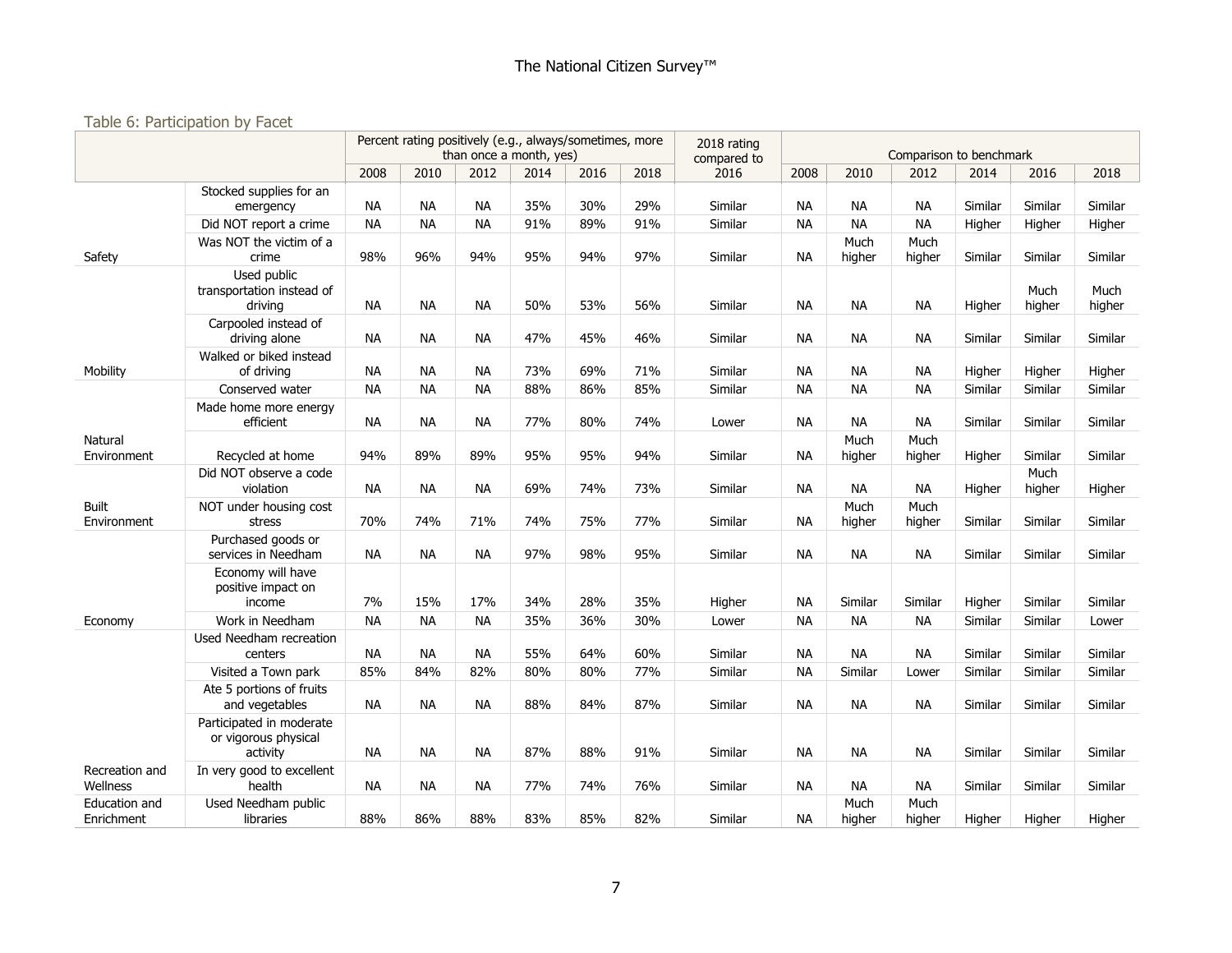#### Table 6: Participation by Facet

|                               |                                                              |           | Percent rating positively (e.g., always/sometimes, more |           | than once a month, yes) |      |      | 2018 rating<br>compared to |           |                | Comparison to benchmark |         |                |                |
|-------------------------------|--------------------------------------------------------------|-----------|---------------------------------------------------------|-----------|-------------------------|------|------|----------------------------|-----------|----------------|-------------------------|---------|----------------|----------------|
|                               |                                                              | 2008      | 2010                                                    | 2012      | 2014                    | 2016 | 2018 | 2016                       | 2008      | 2010           | 2012                    | 2014    | 2016           | 2018           |
|                               | Stocked supplies for an<br>emergency                         | <b>NA</b> | <b>NA</b>                                               | <b>NA</b> | 35%                     | 30%  | 29%  | Similar                    | <b>NA</b> | <b>NA</b>      | <b>NA</b>               | Similar | Similar        | Similar        |
|                               | Did NOT report a crime                                       | <b>NA</b> | <b>NA</b>                                               | <b>NA</b> | 91%                     | 89%  | 91%  | Similar                    | <b>NA</b> | <b>NA</b>      | <b>NA</b>               | Higher  | Higher         | Higher         |
| Safety                        | Was NOT the victim of a<br>crime                             | 98%       | 96%                                                     | 94%       | 95%                     | 94%  | 97%  | Similar                    | <b>NA</b> | Much<br>higher | Much<br>higher          | Similar | Similar        | Similar        |
|                               | Used public<br>transportation instead of<br>drivina          | <b>NA</b> | <b>NA</b>                                               | <b>NA</b> | 50%                     | 53%  | 56%  | Similar                    | NA.       | <b>NA</b>      | <b>NA</b>               | Higher  | Much<br>higher | Much<br>higher |
|                               | Carpooled instead of<br>driving alone                        | <b>NA</b> | <b>NA</b>                                               | <b>NA</b> | 47%                     | 45%  | 46%  | Similar                    | <b>NA</b> | <b>NA</b>      | <b>NA</b>               | Similar | Similar        | Similar        |
| Mobility                      | Walked or biked instead<br>of driving                        | <b>NA</b> | <b>NA</b>                                               | <b>NA</b> | 73%                     | 69%  | 71%  | Similar                    | <b>NA</b> | <b>NA</b>      | <b>NA</b>               | Higher  | Higher         | Higher         |
|                               | Conserved water                                              | <b>NA</b> | <b>NA</b>                                               | <b>NA</b> | 88%                     | 86%  | 85%  | Similar                    | NA.       | <b>NA</b>      | <b>NA</b>               | Similar | Similar        | Similar        |
|                               | Made home more energy<br>efficient                           | <b>NA</b> | <b>NA</b>                                               | <b>NA</b> | 77%                     | 80%  | 74%  | Lower                      | <b>NA</b> | <b>NA</b>      | <b>NA</b>               | Similar | Similar        | Similar        |
| <b>Natural</b><br>Environment | Recycled at home                                             | 94%       | 89%                                                     | 89%       | 95%                     | 95%  | 94%  | Similar                    | <b>NA</b> | Much<br>higher | Much<br>higher          | Higher  | Similar        | Similar        |
|                               | Did NOT observe a code<br>violation                          | <b>NA</b> | <b>NA</b>                                               | <b>NA</b> | 69%                     | 74%  | 73%  | Similar                    | <b>NA</b> | <b>NA</b>      | <b>NA</b>               | Higher  | Much<br>higher | Higher         |
| <b>Built</b><br>Environment   | NOT under housing cost<br>stress                             | 70%       | 74%                                                     | 71%       | 74%                     | 75%  | 77%  | Similar                    | <b>NA</b> | Much<br>higher | Much<br>higher          | Similar | Similar        | Similar        |
|                               | Purchased goods or<br>services in Needham                    | <b>NA</b> | <b>NA</b>                                               | <b>NA</b> | 97%                     | 98%  | 95%  | Similar                    | <b>NA</b> | <b>NA</b>      | <b>NA</b>               | Similar | Similar        | Similar        |
|                               | Economy will have<br>positive impact on<br>income            | 7%        | 15%                                                     | 17%       | 34%                     | 28%  | 35%  | Higher                     | <b>NA</b> | Similar        | Similar                 | Higher  | Similar        | Similar        |
| Economy                       | Work in Needham                                              | <b>NA</b> | <b>NA</b>                                               | <b>NA</b> | 35%                     | 36%  | 30%  | Lower                      | <b>NA</b> | <b>NA</b>      | <b>NA</b>               | Similar | Similar        | Lower          |
|                               | Used Needham recreation<br>centers                           | <b>NA</b> | <b>NA</b>                                               | <b>NA</b> | 55%                     | 64%  | 60%  | Similar                    | <b>NA</b> | <b>NA</b>      | <b>NA</b>               | Similar | Similar        | Similar        |
|                               | Visited a Town park                                          | 85%       | 84%                                                     | 82%       | 80%                     | 80%  | 77%  | Similar                    | <b>NA</b> | Similar        | Lower                   | Similar | Similar        | Similar        |
|                               | Ate 5 portions of fruits<br>and vegetables                   | <b>NA</b> | <b>NA</b>                                               | <b>NA</b> | 88%                     | 84%  | 87%  | Similar                    | <b>NA</b> | <b>NA</b>      | <b>NA</b>               | Similar | Similar        | Similar        |
|                               | Participated in moderate<br>or vigorous physical<br>activity | <b>NA</b> | <b>NA</b>                                               | <b>NA</b> | 87%                     | 88%  | 91%  | Similar                    | NA.       | <b>NA</b>      | <b>NA</b>               | Similar | Similar        | Similar        |
| Recreation and<br>Wellness    | In very good to excellent<br>health                          | <b>NA</b> | <b>NA</b>                                               | <b>NA</b> | 77%                     | 74%  | 76%  | Similar                    | <b>NA</b> | <b>NA</b>      | <b>NA</b>               | Similar | Similar        | Similar        |
| Education and<br>Enrichment   | Used Needham public<br>libraries                             | 88%       | 86%                                                     | 88%       | 83%                     | 85%  | 82%  | Similar                    | <b>NA</b> | Much<br>higher | Much<br>higher          | Higher  | Higher         | Higher         |